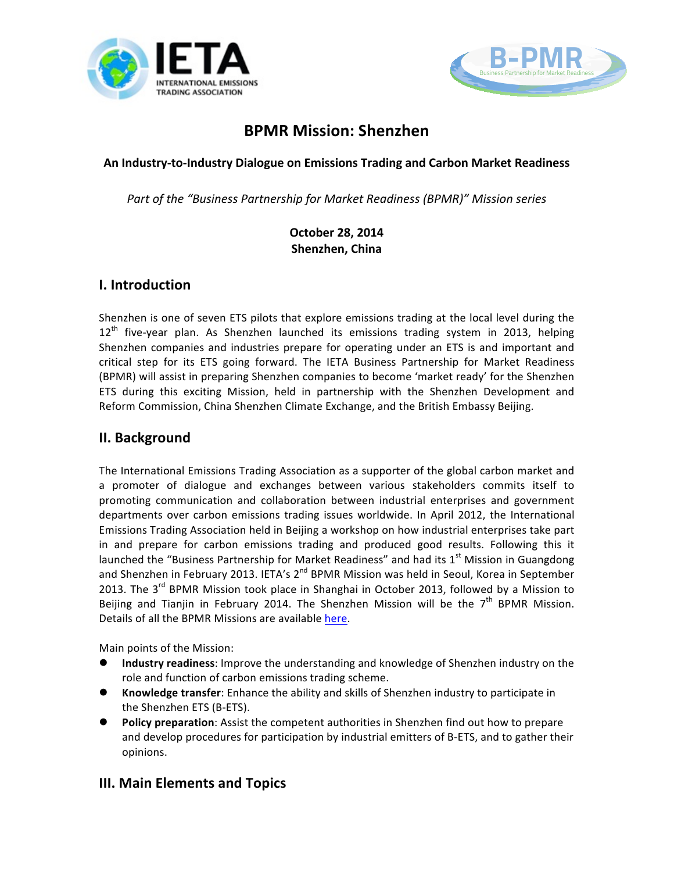



# **BPMR Mission: Shenzhen**

An Industry-to-Industry Dialogue on Emissions Trading and Carbon Market Readiness

*Part of the "Business Partnership for Market Readiness (BPMR)" Mission series* 

#### **October 28, 2014 Shenzhen, China**

### **I. Introduction**

Shenzhen is one of seven ETS pilots that explore emissions trading at the local level during the  $12<sup>th</sup>$  five-year plan. As Shenzhen launched its emissions trading system in 2013, helping Shenzhen companies and industries prepare for operating under an ETS is and important and critical step for its ETS going forward. The IETA Business Partnership for Market Readiness (BPMR) will assist in preparing Shenzhen companies to become 'market ready' for the Shenzhen ETS during this exciting Mission, held in partnership with the Shenzhen Development and Reform Commission, China Shenzhen Climate Exchange, and the British Embassy Beijing.

### **II. Background**

The International Emissions Trading Association as a supporter of the global carbon market and a promoter of dialogue and exchanges between various stakeholders commits itself to promoting communication and collaboration between industrial enterprises and government departments over carbon emissions trading issues worldwide. In April 2012, the International Emissions Trading Association held in Beijing a workshop on how industrial enterprises take part in and prepare for carbon emissions trading and produced good results. Following this it launched the "Business Partnership for Market Readiness" and had its  $1<sup>st</sup>$  Mission in Guangdong and Shenzhen in February 2013. IETA's  $2^{nd}$  BPMR Mission was held in Seoul, Korea in September 2013. The  $3^{rd}$  BPMR Mission took place in Shanghai in October 2013, followed by a Mission to Beijing and Tianjin in February 2014. The Shenzhen Mission will be the 7<sup>th</sup> BPMR Mission. Details of all the BPMR Missions are available here.

Main points of the Mission:

- **Industry readiness:** Improve the understanding and knowledge of Shenzhen industry on the role and function of carbon emissions trading scheme.
- **Knowledge transfer**: Enhance the ability and skills of Shenzhen industry to participate in the Shenzhen ETS (B-ETS).
- **Policy preparation**: Assist the competent authorities in Shenzhen find out how to prepare and develop procedures for participation by industrial emitters of B-ETS, and to gather their opinions.

### **III. Main Elements and Topics**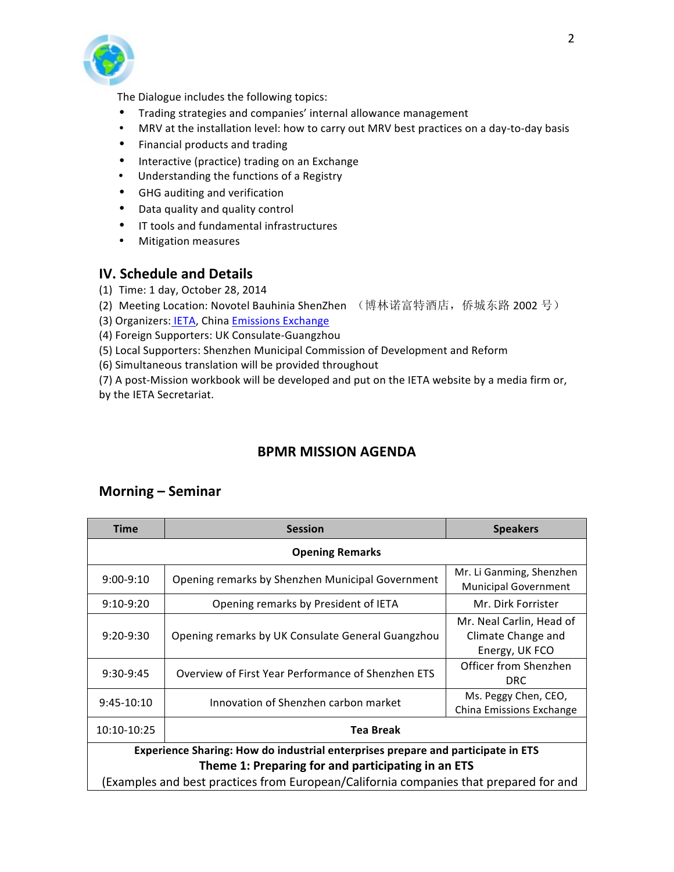

The Dialogue includes the following topics:

- Trading strategies and companies' internal allowance management
- MRV at the installation level: how to carry out MRV best practices on a day-to-day basis
- Financial products and trading
- Interactive (practice) trading on an Exchange
- Understanding the functions of a Registry
- GHG auditing and verification
- Data quality and quality control
- IT tools and fundamental infrastructures
- Mitigation measures

#### **IV. Schedule and Details**

- (1) Time: 1 day, October 28, 2014
- (2) Meeting Location: Novotel Bauhinia ShenZhen (博林诺富特酒店, 侨城东路 2002 号)
- (3) Organizers: IETA, China Emissions Exchange
- (4) Foreign Supporters: UK Consulate-Guangzhou
- (5) Local Supporters: Shenzhen Municipal Commission of Development and Reform
- (6) Simultaneous translation will be provided throughout

(7) A post-Mission workbook will be developed and put on the IETA website by a media firm or, by the IETA Secretariat.

## **BPMR MISSION AGENDA**

#### **Morning – Seminar**

| <b>Time</b>                                                                           | <b>Session</b>                                     | <b>Speakers</b>                                                  |  |  |  |
|---------------------------------------------------------------------------------------|----------------------------------------------------|------------------------------------------------------------------|--|--|--|
| <b>Opening Remarks</b>                                                                |                                                    |                                                                  |  |  |  |
| $9:00-9:10$                                                                           | Opening remarks by Shenzhen Municipal Government   | Mr. Li Ganming, Shenzhen<br><b>Municipal Government</b>          |  |  |  |
| $9:10-9:20$                                                                           | Opening remarks by President of IETA               | Mr. Dirk Forrister                                               |  |  |  |
| $9:20-9:30$                                                                           | Opening remarks by UK Consulate General Guangzhou  | Mr. Neal Carlin, Head of<br>Climate Change and<br>Energy, UK FCO |  |  |  |
| $9:30-9:45$                                                                           | Overview of First Year Performance of Shenzhen ETS | Officer from Shenzhen<br><b>DRC</b>                              |  |  |  |
| $9:45-10:10$                                                                          | Innovation of Shenzhen carbon market               | Ms. Peggy Chen, CEO,<br>China Emissions Exchange                 |  |  |  |
| 10:10-10:25                                                                           | Tea Break                                          |                                                                  |  |  |  |
| Experience Sharing: How do industrial enterprises prepare and participate in ETS      |                                                    |                                                                  |  |  |  |
| Theme 1: Preparing for and participating in an ETS                                    |                                                    |                                                                  |  |  |  |
| (Examples and best practices from European/California companies that prepared for and |                                                    |                                                                  |  |  |  |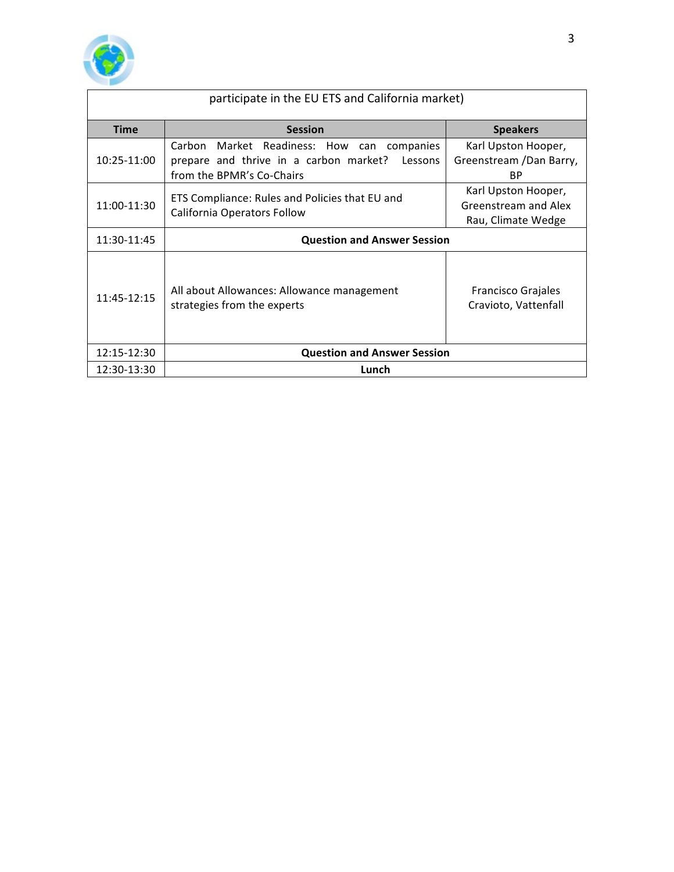

| participate in the EU ETS and California market) |                                                                                                                              |                                                                   |  |  |  |
|--------------------------------------------------|------------------------------------------------------------------------------------------------------------------------------|-------------------------------------------------------------------|--|--|--|
| <b>Time</b>                                      | <b>Session</b>                                                                                                               | <b>Speakers</b>                                                   |  |  |  |
| 10:25-11:00                                      | Carbon Market Readiness: How can companies<br>prepare and thrive in a carbon market?<br>Lessons<br>from the BPMR's Co-Chairs | Karl Upston Hooper,<br>Greenstream /Dan Barry,<br>ВP              |  |  |  |
| 11:00-11:30                                      | ETS Compliance: Rules and Policies that EU and<br>California Operators Follow                                                | Karl Upston Hooper,<br>Greenstream and Alex<br>Rau, Climate Wedge |  |  |  |
| 11:30-11:45                                      | <b>Question and Answer Session</b>                                                                                           |                                                                   |  |  |  |
| 11:45-12:15                                      | All about Allowances: Allowance management<br>strategies from the experts                                                    | Francisco Grajales<br>Cravioto, Vattenfall                        |  |  |  |
| 12:15-12:30                                      | <b>Question and Answer Session</b>                                                                                           |                                                                   |  |  |  |
| 12:30-13:30                                      | Lunch                                                                                                                        |                                                                   |  |  |  |